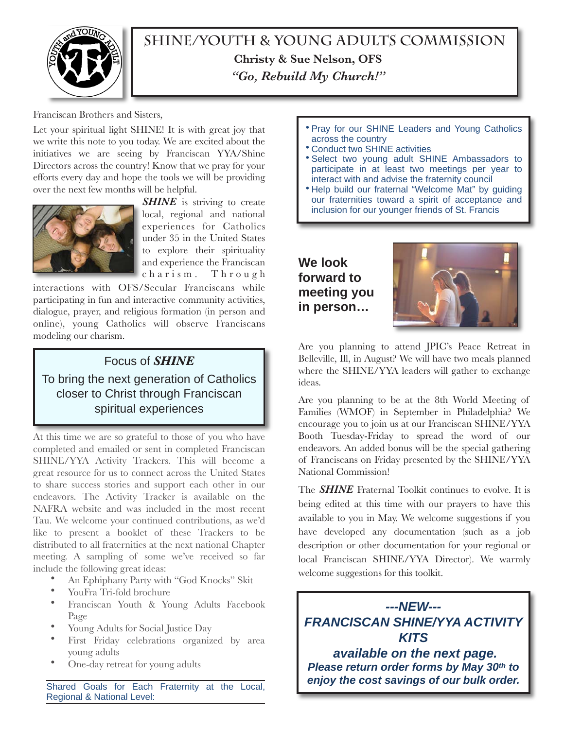

**SHINE/Youth & Young Adults Commission Christy & Sue Nelson, OFS**  *"Go, Rebuild My Church!"*

Franciscan Brothers and Sisters,

Let your spiritual light SHINE! It is with great joy that we write this note to you today. We are excited about the initiatives we are seeing by Franciscan YYA/Shine Directors across the country! Know that we pray for your efforts every day and hope the tools we will be providing over the next few months will be helpful.



*SHINE* is striving to create local, regional and national experiences for Catholics under 35 in the United States to explore their spirituality and experience the Franciscan charism. Through

interactions with OFS/Secular Franciscans while participating in fun and interactive community activities, dialogue, prayer, and religious formation (in person and online), young Catholics will observe Franciscans modeling our charism.

## Focus of *SHINE*

To bring the next generation of Catholics closer to Christ through Franciscan spiritual experiences

At this time we are so grateful to those of you who have completed and emailed or sent in completed Franciscan SHINE/YYA Activity Trackers. This will become a great resource for us to connect across the United States to share success stories and support each other in our endeavors. The Activity Tracker is available on the NAFRA website and was included in the most recent Tau. We welcome your continued contributions, as we'd like to present a booklet of these Trackers to be distributed to all fraternities at the next national Chapter meeting. A sampling of some we've received so far include the following great ideas:

- An Ephiphany Party with "God Knocks" Skit
- YouFra Tri-fold brochure
- Franciscan Youth & Young Adults Facebook Page
- Young Adults for Social Justice Day
- First Friday celebrations organized by area young adults
- One-day retreat for young adults

Shared Goals for Each Fraternity at the Local, Regional & National Level:

- Pray for our SHINE Leaders and Young Catholics across the country
- Conduct two SHINE activities
- Select two young adult SHINE Ambassadors to participate in at least two meetings per year to interact with and advise the fraternity council
- Help build our fraternal "Welcome Mat" by guiding our fraternities toward a spirit of acceptance and inclusion for our younger friends of St. Francis

**We look forward to meeting you in person…**



Are you planning to attend JPIC's Peace Retreat in Belleville, Ill, in August? We will have two meals planned where the SHINE/YYA leaders will gather to exchange ideas.

Are you planning to be at the 8th World Meeting of Families (WMOF) in September in Philadelphia? We encourage you to join us at our Franciscan SHINE/YYA Booth Tuesday-Friday to spread the word of our endeavors. An added bonus will be the special gathering of Franciscans on Friday presented by the SHINE/YYA National Commission!

The *SHINE* Fraternal Toolkit continues to evolve. It is being edited at this time with our prayers to have this available to you in May. We welcome suggestions if you have developed any documentation (such as a job description or other documentation for your regional or local Franciscan SHINE/YYA Director). We warmly welcome suggestions for this toolkit.

*---NEW--- FRANCISCAN SHINE/YYA ACTIVITY KITS*

 *available on the next page. Please return order forms by May 30th to enjoy the cost savings of our bulk order.*